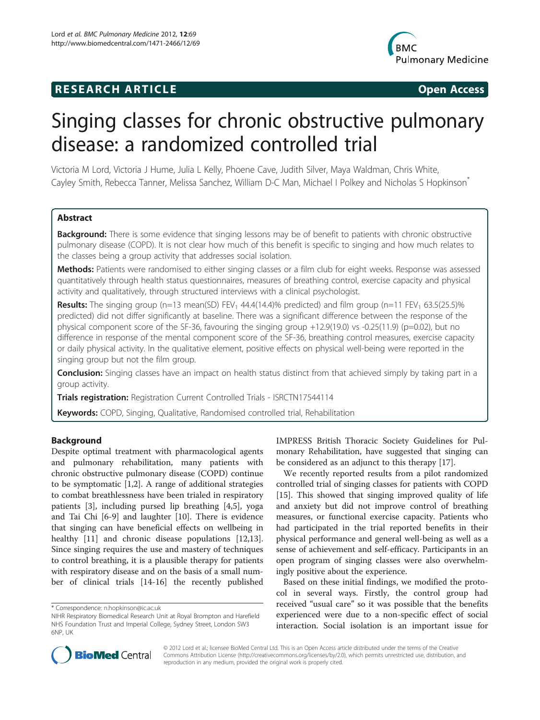## **RESEARCH ARTICLE Example 2014 CONSIDERING CONSIDERING CONSIDERING CONSIDERING CONSIDERING CONSIDERING CONSIDERING CONSIDERING CONSIDERING CONSIDERING CONSIDERING CONSIDERING CONSIDERING CONSIDERING CONSIDERING CONSIDE**



# Singing classes for chronic obstructive pulmonary disease: a randomized controlled trial

Victoria M Lord, Victoria J Hume, Julia L Kelly, Phoene Cave, Judith Silver, Maya Waldman, Chris White, Cayley Smith, Rebecca Tanner, Melissa Sanchez, William D-C Man, Michael I Polkey and Nicholas S Hopkinson\*

## Abstract

Background: There is some evidence that singing lessons may be of benefit to patients with chronic obstructive pulmonary disease (COPD). It is not clear how much of this benefit is specific to singing and how much relates to the classes being a group activity that addresses social isolation.

Methods: Patients were randomised to either singing classes or a film club for eight weeks. Response was assessed quantitatively through health status questionnaires, measures of breathing control, exercise capacity and physical activity and qualitatively, through structured interviews with a clinical psychologist.

**Results:** The singing group (n=13 mean(SD) FEV<sub>1</sub> 44.4(14.4)% predicted) and film group (n=11 FEV<sub>1</sub> 63.5(25.5)% predicted) did not differ significantly at baseline. There was a significant difference between the response of the physical component score of the SF-36, favouring the singing group +12.9(19.0) vs -0.25(11.9) (p=0.02), but no difference in response of the mental component score of the SF-36, breathing control measures, exercise capacity or daily physical activity. In the qualitative element, positive effects on physical well-being were reported in the singing group but not the film group.

**Conclusion:** Singing classes have an impact on health status distinct from that achieved simply by taking part in a group activity.

Trials registration: Registration Current Controlled Trials - ISRCTN17544114

Keywords: COPD, Singing, Qualitative, Randomised controlled trial, Rehabilitation

## Background

Despite optimal treatment with pharmacological agents and pulmonary rehabilitation, many patients with chronic obstructive pulmonary disease (COPD) continue to be symptomatic [\[1,2](#page-6-0)]. A range of additional strategies to combat breathlessness have been trialed in respiratory patients [[3\]](#page-6-0), including pursed lip breathing [[4,5\]](#page-6-0), yoga and Tai Chi [\[6-9](#page-6-0)] and laughter [\[10](#page-6-0)]. There is evidence that singing can have beneficial effects on wellbeing in healthy [\[11](#page-6-0)] and chronic disease populations [\[12,13](#page-6-0)]. Since singing requires the use and mastery of techniques to control breathing, it is a plausible therapy for patients with respiratory disease and on the basis of a small number of clinical trials [\[14-16](#page-6-0)] the recently published

IMPRESS British Thoracic Society Guidelines for Pulmonary Rehabilitation, have suggested that singing can be considered as an adjunct to this therapy [\[17](#page-6-0)].

We recently reported results from a pilot randomized controlled trial of singing classes for patients with COPD [[15\]](#page-6-0). This showed that singing improved quality of life and anxiety but did not improve control of breathing measures, or functional exercise capacity. Patients who had participated in the trial reported benefits in their physical performance and general well-being as well as a sense of achievement and self-efficacy. Participants in an open program of singing classes were also overwhelmingly positive about the experience.

Based on these initial findings, we modified the protocol in several ways. Firstly, the control group had received "usual care" so it was possible that the benefits experienced were due to a non-specific effect of social interaction. Social isolation is an important issue for



© 2012 Lord et al.; licensee BioMed Central Ltd. This is an Open Access article distributed under the terms of the Creative Commons Attribution License [\(http://creativecommons.org/licenses/by/2.0\)](http://creativecommons.org/licenses/by/2.0), which permits unrestricted use, distribution, and reproduction in any medium, provided the original work is properly cited.

<sup>\*</sup> Correspondence: [n.hopkinson@ic.ac.uk](mailto:n.hopkinson@ic.ac.uk)

NIHR Respiratory Biomedical Research Unit at Royal Brompton and Harefield NHS Foundation Trust and Imperial College, Sydney Street, London SW3 6NP, UK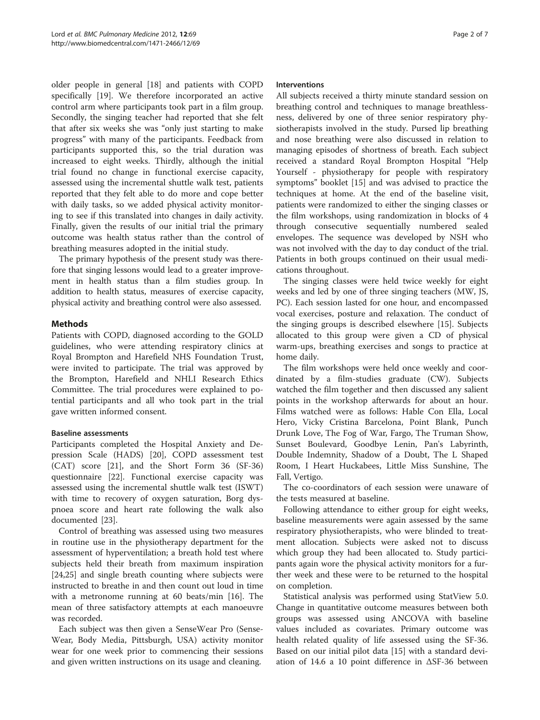older people in general [\[18](#page-6-0)] and patients with COPD specifically [[19\]](#page-6-0). We therefore incorporated an active control arm where participants took part in a film group. Secondly, the singing teacher had reported that she felt that after six weeks she was "only just starting to make progress" with many of the participants. Feedback from participants supported this, so the trial duration was increased to eight weeks. Thirdly, although the initial trial found no change in functional exercise capacity, assessed using the incremental shuttle walk test, patients reported that they felt able to do more and cope better with daily tasks, so we added physical activity monitoring to see if this translated into changes in daily activity. Finally, given the results of our initial trial the primary outcome was health status rather than the control of breathing measures adopted in the initial study.

The primary hypothesis of the present study was therefore that singing lessons would lead to a greater improvement in health status than a film studies group. In addition to health status, measures of exercise capacity, physical activity and breathing control were also assessed.

## Methods

Patients with COPD, diagnosed according to the GOLD guidelines, who were attending respiratory clinics at Royal Brompton and Harefield NHS Foundation Trust, were invited to participate. The trial was approved by the Brompton, Harefield and NHLI Research Ethics Committee. The trial procedures were explained to potential participants and all who took part in the trial gave written informed consent.

## Baseline assessments

Participants completed the Hospital Anxiety and Depression Scale (HADS) [\[20](#page-6-0)], COPD assessment test (CAT) score [\[21](#page-6-0)], and the Short Form 36 (SF-36) questionnaire [[22](#page-6-0)]. Functional exercise capacity was assessed using the incremental shuttle walk test (ISWT) with time to recovery of oxygen saturation, Borg dyspnoea score and heart rate following the walk also documented [[23](#page-6-0)].

Control of breathing was assessed using two measures in routine use in the physiotherapy department for the assessment of hyperventilation; a breath hold test where subjects held their breath from maximum inspiration [[24,25\]](#page-6-0) and single breath counting where subjects were instructed to breathe in and then count out loud in time with a metronome running at 60 beats/min [\[16](#page-6-0)]. The mean of three satisfactory attempts at each manoeuvre was recorded.

Each subject was then given a SenseWear Pro (Sense-Wear, Body Media, Pittsburgh, USA) activity monitor wear for one week prior to commencing their sessions and given written instructions on its usage and cleaning.

## Interventions

All subjects received a thirty minute standard session on breathing control and techniques to manage breathlessness, delivered by one of three senior respiratory physiotherapists involved in the study. Pursed lip breathing and nose breathing were also discussed in relation to managing episodes of shortness of breath. Each subject received a standard Royal Brompton Hospital "Help Yourself - physiotherapy for people with respiratory symptoms" booklet [[15\]](#page-6-0) and was advised to practice the techniques at home. At the end of the baseline visit, patients were randomized to either the singing classes or the film workshops, using randomization in blocks of 4 through consecutive sequentially numbered sealed envelopes. The sequence was developed by NSH who was not involved with the day to day conduct of the trial. Patients in both groups continued on their usual medications throughout.

The singing classes were held twice weekly for eight weeks and led by one of three singing teachers (MW, JS, PC). Each session lasted for one hour, and encompassed vocal exercises, posture and relaxation. The conduct of the singing groups is described elsewhere [[15\]](#page-6-0). Subjects allocated to this group were given a CD of physical warm-ups, breathing exercises and songs to practice at home daily.

The film workshops were held once weekly and coordinated by a film-studies graduate (CW). Subjects watched the film together and then discussed any salient points in the workshop afterwards for about an hour. Films watched were as follows: Hable Con Ella, Local Hero, Vicky Cristina Barcelona, Point Blank, Punch Drunk Love, The Fog of War, Fargo, The Truman Show, Sunset Boulevard, Goodbye Lenin, Pan's Labyrinth, Double Indemnity, Shadow of a Doubt, The L Shaped Room, I Heart Huckabees, Little Miss Sunshine, The Fall, Vertigo.

The co-coordinators of each session were unaware of the tests measured at baseline.

Following attendance to either group for eight weeks, baseline measurements were again assessed by the same respiratory physiotherapists, who were blinded to treatment allocation. Subjects were asked not to discuss which group they had been allocated to. Study participants again wore the physical activity monitors for a further week and these were to be returned to the hospital on completion.

Statistical analysis was performed using StatView 5.0. Change in quantitative outcome measures between both groups was assessed using ANCOVA with baseline values included as covariates. Primary outcome was health related quality of life assessed using the SF-36. Based on our initial pilot data [[15\]](#page-6-0) with a standard deviation of 14.6 a 10 point difference in ΔSF-36 between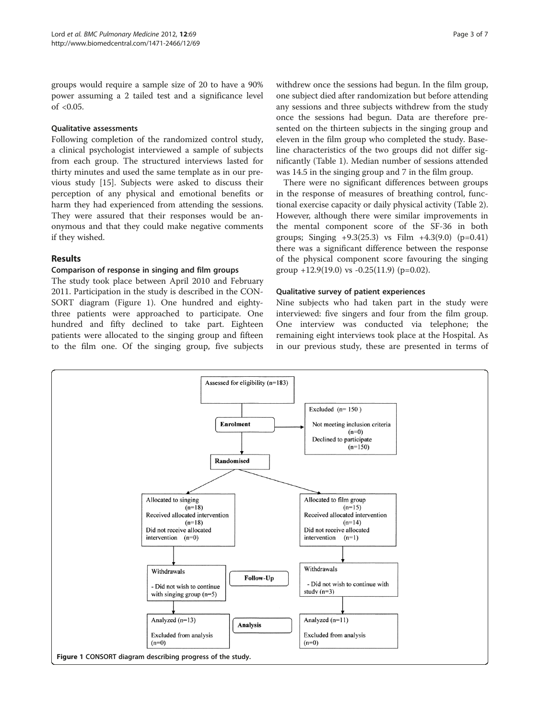groups would require a sample size of 20 to have a 90% power assuming a 2 tailed test and a significance level of  $< 0.05$ .

## Qualitative assessments

Following completion of the randomized control study, a clinical psychologist interviewed a sample of subjects from each group. The structured interviews lasted for thirty minutes and used the same template as in our previous study [\[15\]](#page-6-0). Subjects were asked to discuss their perception of any physical and emotional benefits or harm they had experienced from attending the sessions. They were assured that their responses would be anonymous and that they could make negative comments if they wished.

## Results

## Comparison of response in singing and film groups

The study took place between April 2010 and February 2011. Participation in the study is described in the CON-SORT diagram (Figure 1). One hundred and eightythree patients were approached to participate. One hundred and fifty declined to take part. Eighteen patients were allocated to the singing group and fifteen to the film one. Of the singing group, five subjects withdrew once the sessions had begun. In the film group, one subject died after randomization but before attending any sessions and three subjects withdrew from the study once the sessions had begun. Data are therefore presented on the thirteen subjects in the singing group and eleven in the film group who completed the study. Baseline characteristics of the two groups did not differ significantly (Table [1\)](#page-3-0). Median number of sessions attended was 14.5 in the singing group and 7 in the film group.

There were no significant differences between groups in the response of measures of breathing control, functional exercise capacity or daily physical activity (Table [2](#page-3-0)). However, although there were similar improvements in the mental component score of the SF-36 in both groups; Singing  $+9.3(25.3)$  vs Film  $+4.3(9.0)$  (p=0.41) there was a significant difference between the response of the physical component score favouring the singing group  $+12.9(19.0)$  vs  $-0.25(11.9)$  (p=0.02).

## Qualitative survey of patient experiences

Nine subjects who had taken part in the study were interviewed: five singers and four from the film group. One interview was conducted via telephone; the remaining eight interviews took place at the Hospital. As in our previous study, these are presented in terms of

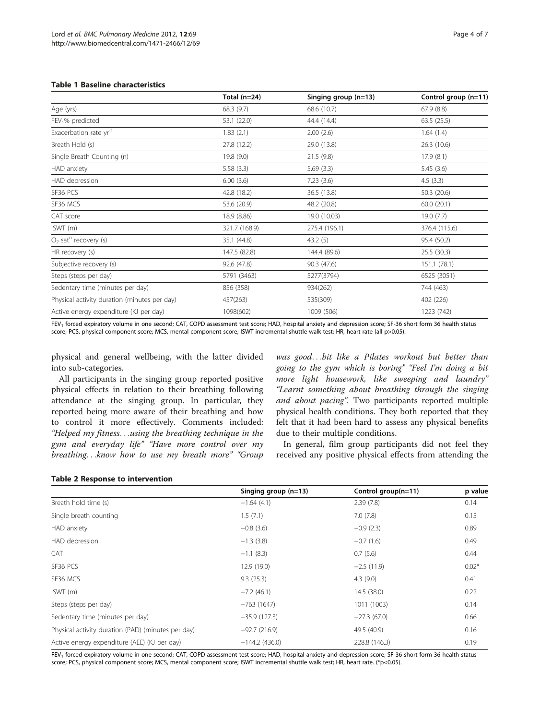## <span id="page-3-0"></span>Table 1 Baseline characteristics

|                                              | Total $(n=24)$ | Singing group $(n=13)$ | Control group (n=11) |
|----------------------------------------------|----------------|------------------------|----------------------|
| Age (yrs)                                    | 68.3 (9.7)     | 68.6 (10.7)            | 67.9(8.8)            |
| $FEV1%$ predicted                            | 53.1 (22.0)    | 44.4 (14.4)            | 63.5(25.5)           |
| Exacerbation rate yr <sup>-1</sup>           | 1.83(2.1)      | 2.00(2.6)              | 1.64(1.4)            |
| Breath Hold (s)                              | 27.8 (12.2)    | 29.0 (13.8)            | 26.3(10.6)           |
| Single Breath Counting (n)                   | 19.8 (9.0)     | 21.5(9.8)              | 17.9(8.1)            |
| HAD anxiety                                  | 5.58(3.3)      | 5.69(3.3)              | 5.45(3.6)            |
| HAD depression                               | 6.00(3.6)      | 7.23(3.6)              | 4.5(3.3)             |
| SF36 PCS                                     | 42.8 (18.2)    | 36.5 (13.8)            | 50.3 (20.6)          |
| SF36 MCS                                     | 53.6 (20.9)    | 48.2 (20.8)            | 60.0(20.1)           |
| CAT score                                    | 18.9 (8.86)    | 19.0 (10.03)           | 19.0(7.7)            |
| ISWT (m)                                     | 321.7 (168.9)  | 275.4 (196.1)          | 376.4 (115.6)        |
| $O2$ sat <sup>n</sup> recovery (s)           | 35.1 (44.8)    | 43.2(5)                | 95.4 (50.2)          |
| HR recovery (s)                              | 147.5 (82.8)   | 144.4 (89.6)           | 25.5(30.3)           |
| Subjective recovery (s)                      | 92.6 (47.8)    | 90.3 (47.6)            | 151.1(78.1)          |
| Steps (steps per day)                        | 5791 (3463)    | 5277(3794)             | 6525 (3051)          |
| Sedentary time (minutes per day)             | 856 (358)      | 934(262)               | 744 (463)            |
| Physical activity duration (minutes per day) | 457(263)       | 535(309)               | 402 (226)            |
| Active energy expenditure (KJ per day)       | 1098(602)      | 1009 (506)             | 1223 (742)           |

FEV<sub>1</sub> forced expiratory volume in one second; CAT, COPD assessment test score; HAD, hospital anxiety and depression score; SF-36 short form 36 health status score; PCS, physical component score; MCS, mental component score; ISWT incremental shuttle walk test; HR, heart rate (all p>0.05).

physical and general wellbeing, with the latter divided into sub-categories.

All participants in the singing group reported positive physical effects in relation to their breathing following attendance at the singing group. In particular, they reported being more aware of their breathing and how to control it more effectively. Comments included: "Helped my fitness...using the breathing technique in the gym and everyday life" "Have more control over my breathing...know how to use my breath more" "Group

was good...bit like a Pilates workout but better than going to the gym which is boring" "Feel I'm doing a bit more light housework, like sweeping and laundry" "Learnt something about breathing through the singing and about pacing". Two participants reported multiple physical health conditions. They both reported that they felt that it had been hard to assess any physical benefits due to their multiple conditions.

In general, film group participants did not feel they received any positive physical effects from attending the

#### Table 2 Response to intervention

|                                                    | Singing group $(n=13)$ | Control group(n=11) | p value |
|----------------------------------------------------|------------------------|---------------------|---------|
| Breath hold time (s)                               | $-1.64(4.1)$           | 2.39(7.8)           | 0.14    |
| Single breath counting                             | 1.5(7.1)               | 7.0(7.8)            | 0.15    |
| HAD anxiety                                        | $-0.8(3.6)$            | $-0.9(2.3)$         | 0.89    |
| HAD depression                                     | $-1.3(3.8)$            | $-0.7(1.6)$         | 0.49    |
| CAT                                                | $-1.1(8.3)$            | 0.7(5.6)            | 0.44    |
| SF36 PCS                                           | 12.9 (19.0)            | $-2.5(11.9)$        | $0.02*$ |
| SF36 MCS                                           | 9.3(25.3)              | 4.3(9.0)            | 0.41    |
| ISWT(m)                                            | $-7.2(46.1)$           | 14.5 (38.0)         | 0.22    |
| Steps (steps per day)                              | $-763(1647)$           | 1011 (1003)         | 0.14    |
| Sedentary time (minutes per day)                   | $-35.9(127.3)$         | $-27.3(67.0)$       | 0.66    |
| Physical activity duration (PAD) (minutes per day) | $-92.7(216.9)$         | 49.5 (40.9)         | 0.16    |
| Active energy expenditure (AEE) (KJ per day)       | $-144.2(436.0)$        | 228.8 (146.3)       | 0.19    |

FEV<sub>1</sub> forced expiratory volume in one second; CAT, COPD assessment test score; HAD, hospital anxiety and depression score; SF-36 short form 36 health status score; PCS, physical component score; MCS, mental component score; ISWT incremental shuttle walk test; HR, heart rate. (\*p<0.05).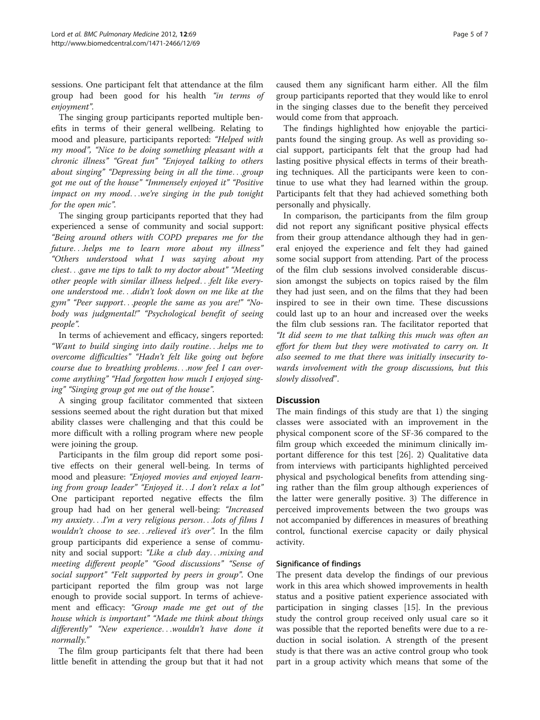sessions. One participant felt that attendance at the film group had been good for his health "in terms of enjoyment".

The singing group participants reported multiple benefits in terms of their general wellbeing. Relating to mood and pleasure, participants reported: "Helped with my mood", "Nice to be doing something pleasant with a chronic illness" "Great fun" "Enjoyed talking to others about singing" "Depressing being in all the time...group got me out of the house" "Immensely enjoyed it" "Positive impact on my mood...we're singing in the pub tonight for the open mic".

The singing group participants reported that they had experienced a sense of community and social support: "Being around others with COPD prepares me for the future...helps me to learn more about my illness" "Others understood what I was saying about my chest...gave me tips to talk to my doctor about" "Meeting other people with similar illness helped...felt like everyone understood me...didn't look down on me like at the gym" "Peer support...people the same as you are!" "Nobody was judgmental!" "Psychological benefit of seeing people".

In terms of achievement and efficacy, singers reported: "Want to build singing into daily routine...helps me to overcome difficulties" "Hadn't felt like going out before course due to breathing problems...now feel I can overcome anything" "Had forgotten how much I enjoyed singing" "Singing group got me out of the house".

A singing group facilitator commented that sixteen sessions seemed about the right duration but that mixed ability classes were challenging and that this could be more difficult with a rolling program where new people were joining the group.

Participants in the film group did report some positive effects on their general well-being. In terms of mood and pleasure: "Enjoyed movies and enjoyed learning from group leader" "Enjoyed it...I don't relax a lot" One participant reported negative effects the film group had had on her general well-being: "Increased my anxiety...I'm a very religious person...lots of films I wouldn't choose to see...relieved it's over". In the film group participants did experience a sense of community and social support: "Like a club day...mixing and meeting different people" "Good discussions" "Sense of social support" "Felt supported by peers in group". One participant reported the film group was not large enough to provide social support. In terms of achievement and efficacy: "Group made me get out of the house which is important" "Made me think about things differently" "New experience...wouldn't have done it normally."

The film group participants felt that there had been little benefit in attending the group but that it had not

caused them any significant harm either. All the film group participants reported that they would like to enrol in the singing classes due to the benefit they perceived would come from that approach.

The findings highlighted how enjoyable the participants found the singing group. As well as providing social support, participants felt that the group had had lasting positive physical effects in terms of their breathing techniques. All the participants were keen to continue to use what they had learned within the group. Participants felt that they had achieved something both personally and physically.

In comparison, the participants from the film group did not report any significant positive physical effects from their group attendance although they had in general enjoyed the experience and felt they had gained some social support from attending. Part of the process of the film club sessions involved considerable discussion amongst the subjects on topics raised by the film they had just seen, and on the films that they had been inspired to see in their own time. These discussions could last up to an hour and increased over the weeks the film club sessions ran. The facilitator reported that "It did seem to me that talking this much was often an effort for them but they were motivated to carry on. It also seemed to me that there was initially insecurity towards involvement with the group discussions, but this slowly dissolved".

## **Discussion**

The main findings of this study are that 1) the singing classes were associated with an improvement in the physical component score of the SF-36 compared to the film group which exceeded the minimum clinically important difference for this test [[26](#page-6-0)]. 2) Qualitative data from interviews with participants highlighted perceived physical and psychological benefits from attending singing rather than the film group although experiences of the latter were generally positive. 3) The difference in perceived improvements between the two groups was not accompanied by differences in measures of breathing control, functional exercise capacity or daily physical activity.

## Significance of findings

The present data develop the findings of our previous work in this area which showed improvements in health status and a positive patient experience associated with participation in singing classes [[15\]](#page-6-0). In the previous study the control group received only usual care so it was possible that the reported benefits were due to a reduction in social isolation. A strength of the present study is that there was an active control group who took part in a group activity which means that some of the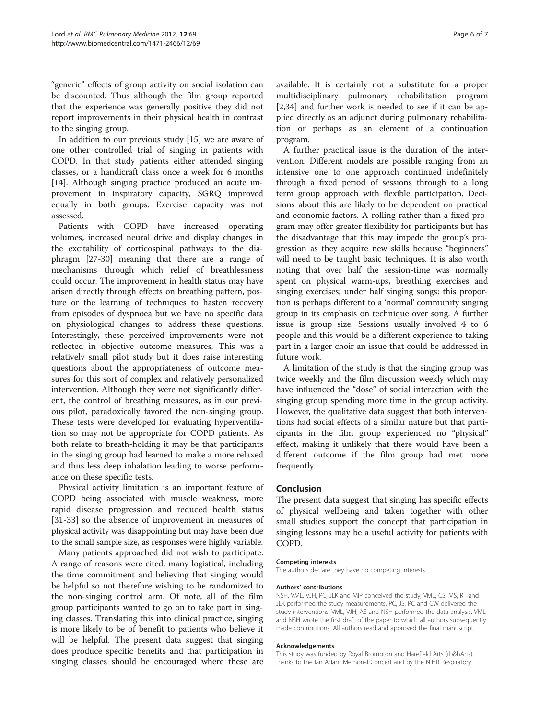"generic" effects of group activity on social isolation can be discounted. Thus although the film group reported that the experience was generally positive they did not report improvements in their physical health in contrast to the singing group.

In addition to our previous study [[15\]](#page-6-0) we are aware of one other controlled trial of singing in patients with COPD. In that study patients either attended singing classes, or a handicraft class once a week for 6 months [[14\]](#page-6-0). Although singing practice produced an acute improvement in inspiratory capacity, SGRQ improved equally in both groups. Exercise capacity was not assessed.

Patients with COPD have increased operating volumes, increased neural drive and display changes in the excitability of corticospinal pathways to the diaphragm [\[27-30](#page-6-0)] meaning that there are a range of mechanisms through which relief of breathlessness could occur. The improvement in health status may have arisen directly through effects on breathing pattern, posture or the learning of techniques to hasten recovery from episodes of dyspnoea but we have no specific data on physiological changes to address these questions. Interestingly, these perceived improvements were not reflected in objective outcome measures. This was a relatively small pilot study but it does raise interesting questions about the appropriateness of outcome measures for this sort of complex and relatively personalized intervention. Although they were not significantly different, the control of breathing measures, as in our previous pilot, paradoxically favored the non-singing group. These tests were developed for evaluating hyperventilation so may not be appropriate for COPD patients. As both relate to breath-holding it may be that participants in the singing group had learned to make a more relaxed and thus less deep inhalation leading to worse performance on these specific tests.

Physical activity limitation is an important feature of COPD being associated with muscle weakness, more rapid disease progression and reduced health status [[31-33\]](#page-6-0) so the absence of improvement in measures of physical activity was disappointing but may have been due to the small sample size, as responses were highly variable.

Many patients approached did not wish to participate. A range of reasons were cited, many logistical, including the time commitment and believing that singing would be helpful so not therefore wishing to be randomized to the non-singing control arm. Of note, all of the film group participants wanted to go on to take part in singing classes. Translating this into clinical practice, singing is more likely to be of benefit to patients who believe it will be helpful. The present data suggest that singing does produce specific benefits and that participation in singing classes should be encouraged where these are available. It is certainly not a substitute for a proper multidisciplinary pulmonary rehabilitation program [[2,34\]](#page-6-0) and further work is needed to see if it can be applied directly as an adjunct during pulmonary rehabilitation or perhaps as an element of a continuation program.

A further practical issue is the duration of the intervention. Different models are possible ranging from an intensive one to one approach continued indefinitely through a fixed period of sessions through to a long term group approach with flexible participation. Decisions about this are likely to be dependent on practical and economic factors. A rolling rather than a fixed program may offer greater flexibility for participants but has the disadvantage that this may impede the group's progression as they acquire new skills because "beginners" will need to be taught basic techniques. It is also worth noting that over half the session-time was normally spent on physical warm-ups, breathing exercises and singing exercises; under half singing songs: this proportion is perhaps different to a 'normal' community singing group in its emphasis on technique over song. A further issue is group size. Sessions usually involved 4 to 6 people and this would be a different experience to taking part in a larger choir an issue that could be addressed in future work.

A limitation of the study is that the singing group was twice weekly and the film discussion weekly which may have influenced the "dose" of social interaction with the singing group spending more time in the group activity. However, the qualitative data suggest that both interventions had social effects of a similar nature but that participants in the film group experienced no "physical" effect, making it unlikely that there would have been a different outcome if the film group had met more frequently.

### Conclusion

The present data suggest that singing has specific effects of physical wellbeing and taken together with other small studies support the concept that participation in singing lessons may be a useful activity for patients with COPD.

#### Competing interests

The authors declare they have no competing interests.

#### Authors' contributions

NSH, VML, VJH, PC, JLK and MIP conceived the study; VML, CS, MS, RT and JLK performed the study measurements. PC, JS, PC and CW delivered the study interventions. VML, VJH, AE and NSH performed the data analysis. VML and NSH wrote the first draft of the paper to which all authors subsequently made contributions. All authors read and approved the final manuscript.

#### Acknowledgements

This study was funded by Royal Brompton and Harefield Arts (rb&hArts), thanks to the Ian Adam Memorial Concert and by the NIHR Respiratory